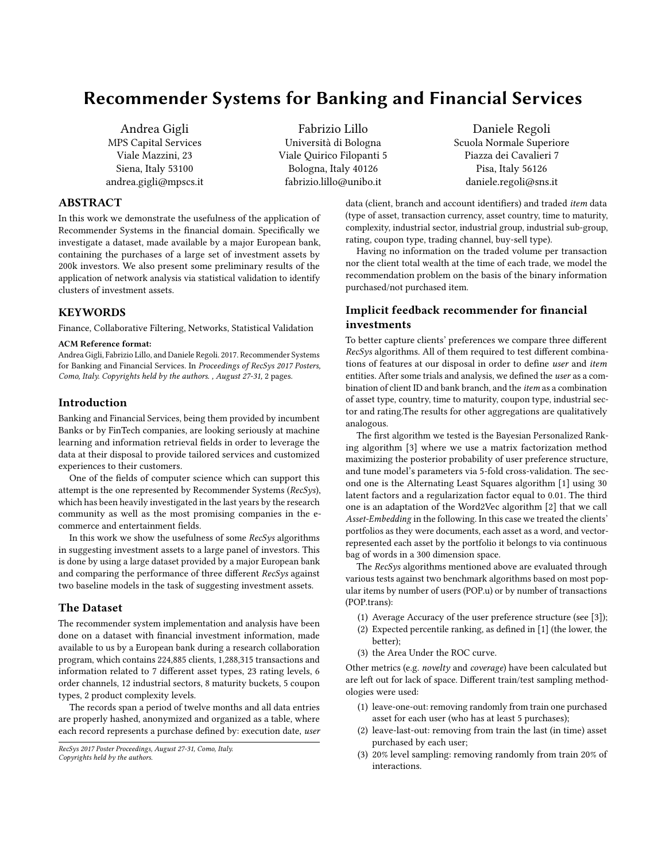# Recommender Systems for Banking and Financial Services

Andrea Gigli MPS Capital Services Viale Mazzini, 23 Siena, Italy 53100 andrea.gigli@mpscs.it

Fabrizio Lillo Università di Bologna Viale Quirico Filopanti 5 Bologna, Italy 40126 fabrizio.lillo@unibo.it

Daniele Regoli Scuola Normale Superiore Piazza dei Cavalieri 7 Pisa, Italy 56126 daniele.regoli@sns.it

## ABSTRACT

In this work we demonstrate the usefulness of the application of Recommender Systems in the financial domain. Specifically we investigate a dataset, made available by a major European bank, containing the purchases of a large set of investment assets by 200k investors. We also present some preliminary results of the application of network analysis via statistical validation to identify clusters of investment assets.

#### KEYWORDS

Finance, Collaborative Filtering, Networks, Statistical Validation

#### ACM Reference format:

Andrea Gigli, Fabrizio Lillo, and Daniele Regoli. 2017. Recommender Systems for Banking and Financial Services. In Proceedings of RecSys 2017 Posters, Como, Italy. Copyrights held by the authors. , August 27-31, [2](#page-1-0) pages.

## Introduction

Banking and Financial Services, being them provided by incumbent Banks or by FinTech companies, are looking seriously at machine learning and information retrieval fields in order to leverage the data at their disposal to provide tailored services and customized experiences to their customers.

One of the fields of computer science which can support this attempt is the one represented by Recommender Systems (RecSys), which has been heavily investigated in the last years by the research community as well as the most promising companies in the ecommerce and entertainment fields.

In this work we show the usefulness of some RecSys algorithms in suggesting investment assets to a large panel of investors. This is done by using a large dataset provided by a major European bank and comparing the performance of three different RecSys against two baseline models in the task of suggesting investment assets.

#### The Dataset

The recommender system implementation and analysis have been done on a dataset with financial investment information, made available to us by a European bank during a research collaboration program, which contains 224,885 clients, 1,288,315 transactions and information related to 7 different asset types, 23 rating levels, 6 order channels, 12 industrial sectors, 8 maturity buckets, 5 coupon types, 2 product complexity levels.

The records span a period of twelve months and all data entries are properly hashed, anonymized and organized as a table, where each record represents a purchase defined by: execution date, user

```
RecSys 2017 Poster Proceedings, August 27-31, Como, Italy.
Copyrights held by the authors.
```
data (client, branch and account identifiers) and traded item data (type of asset, transaction currency, asset country, time to maturity, complexity, industrial sector, industrial group, industrial sub-group, rating, coupon type, trading channel, buy-sell type).

Having no information on the traded volume per transaction nor the client total wealth at the time of each trade, we model the recommendation problem on the basis of the binary information purchased/not purchased item.

# Implicit feedback recommender for financial investments

To better capture clients' preferences we compare three different RecSys algorithms. All of them required to test different combinations of features at our disposal in order to define user and item entities. After some trials and analysis, we defined the user as a combination of client ID and bank branch, and the item as a combination of asset type, country, time to maturity, coupon type, industrial sector and rating.The results for other aggregations are qualitatively analogous.

The first algorithm we tested is the Bayesian Personalized Ranking algorithm [\[3\]](#page-1-1) where we use a matrix factorization method maximizing the posterior probability of user preference structure, and tune model's parameters via 5-fold cross-validation. The second one is the Alternating Least Squares algorithm [\[1\]](#page-1-2) using 30 latent factors and a regularization factor equal to 0.01. The third one is an adaptation of the Word2Vec algorithm [\[2\]](#page-1-3) that we call Asset-Embedding in the following. In this case we treated the clients' portfolios as they were documents, each asset as a word, and vectorrepresented each asset by the portfolio it belongs to via continuous bag of words in a 300 dimension space.

The RecSys algorithms mentioned above are evaluated through various tests against two benchmark algorithms based on most popular items by number of users (POP.u) or by number of transactions (POP.trans):

- (1) Average Accuracy of the user preference structure (see [\[3\]](#page-1-1));
- (2) Expected percentile ranking, as defined in [\[1\]](#page-1-2) (the lower, the better);
- (3) the Area Under the ROC curve.

Other metrics (e.g. novelty and coverage) have been calculated but are left out for lack of space. Different train/test sampling methodologies were used:

- (1) leave-one-out: removing randomly from train one purchased asset for each user (who has at least 5 purchases);
- (2) leave-last-out: removing from train the last (in time) asset purchased by each user;
- (3) 20% level sampling: removing randomly from train 20% of interactions.